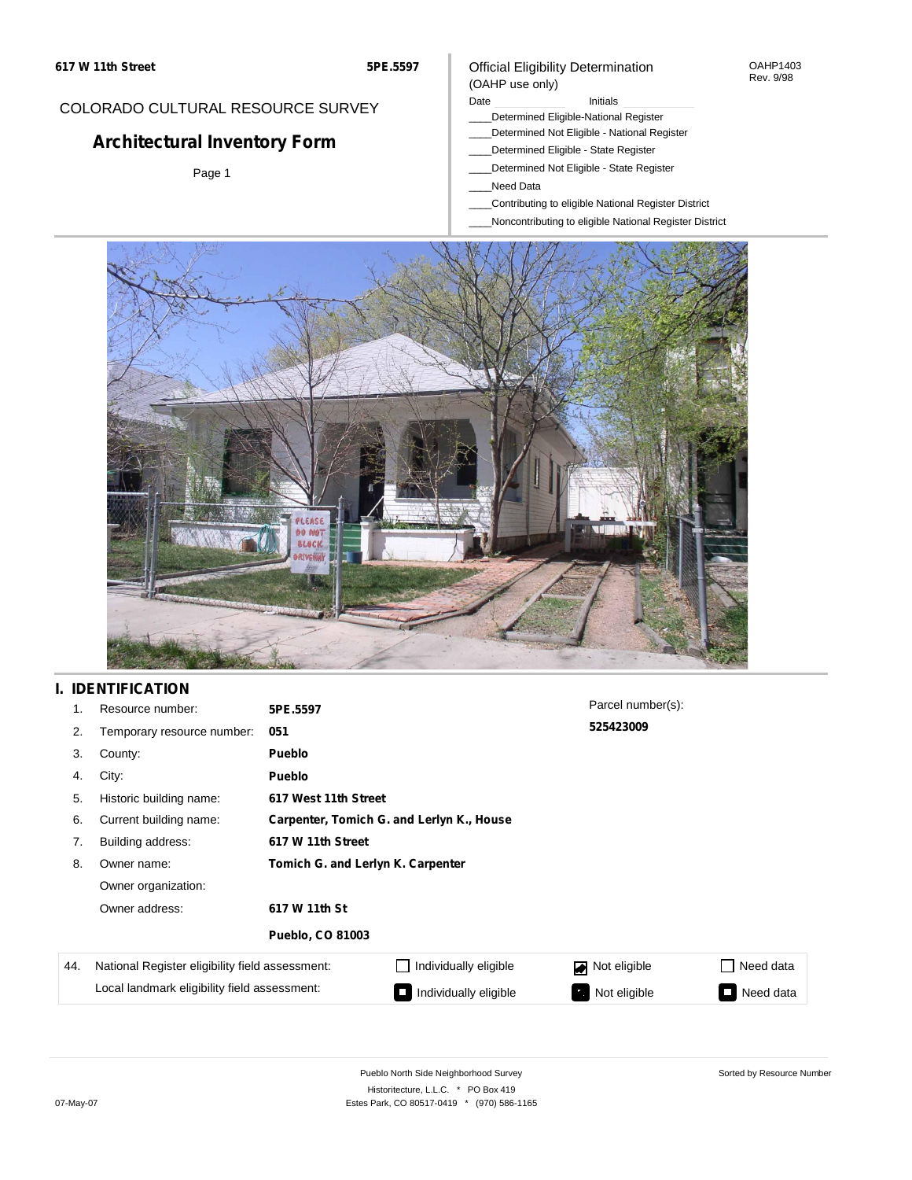# COLORADO CULTURAL RESOURCE SURVEY

# **Architectural Inventory Form**

Page 1

## Official Eligibility Determination (OAHP use only)

Date **Initials** Initials

- \_\_\_\_Determined Eligible-National Register
- \_\_\_\_Determined Not Eligible National Register
- \_\_\_\_Determined Eligible State Register
- \_\_\_\_Determined Not Eligible State Register
- \_\_\_\_Need Data
- \_\_\_\_Contributing to eligible National Register District
- \_\_\_\_Noncontributing to eligible National Register District



## **I. IDENTIFICATION**

| 1.  | Resource number:                                | 5PE.5597                          |                                           | Parcel number(s): |                 |  |  |  |
|-----|-------------------------------------------------|-----------------------------------|-------------------------------------------|-------------------|-----------------|--|--|--|
| 2.  | Temporary resource number:                      | 051                               |                                           | 525423009         |                 |  |  |  |
| 3.  | County:                                         | <b>Pueblo</b>                     |                                           |                   |                 |  |  |  |
| 4.  | City:                                           | Pueblo                            |                                           |                   |                 |  |  |  |
| 5.  | Historic building name:                         |                                   | 617 West 11th Street                      |                   |                 |  |  |  |
| 6.  | Current building name:                          |                                   | Carpenter, Tomich G. and Lerlyn K., House |                   |                 |  |  |  |
| 7.  | Building address:                               | 617 W 11th Street                 |                                           |                   |                 |  |  |  |
| 8.  | Owner name:                                     | Tomich G. and Lerlyn K. Carpenter |                                           |                   |                 |  |  |  |
|     | Owner organization:                             |                                   |                                           |                   |                 |  |  |  |
|     | Owner address:                                  | 617 W 11th St                     |                                           |                   |                 |  |  |  |
|     |                                                 | <b>Pueblo, CO 81003</b>           |                                           |                   |                 |  |  |  |
| 44. | National Register eligibility field assessment: |                                   | Individually eligible                     | Not eligible      | Need data       |  |  |  |
|     | Local landmark eligibility field assessment:    |                                   | Individually eligible                     | Not eligible<br>ъ | Need data<br>I. |  |  |  |

OAHP1403 Rev. 9/98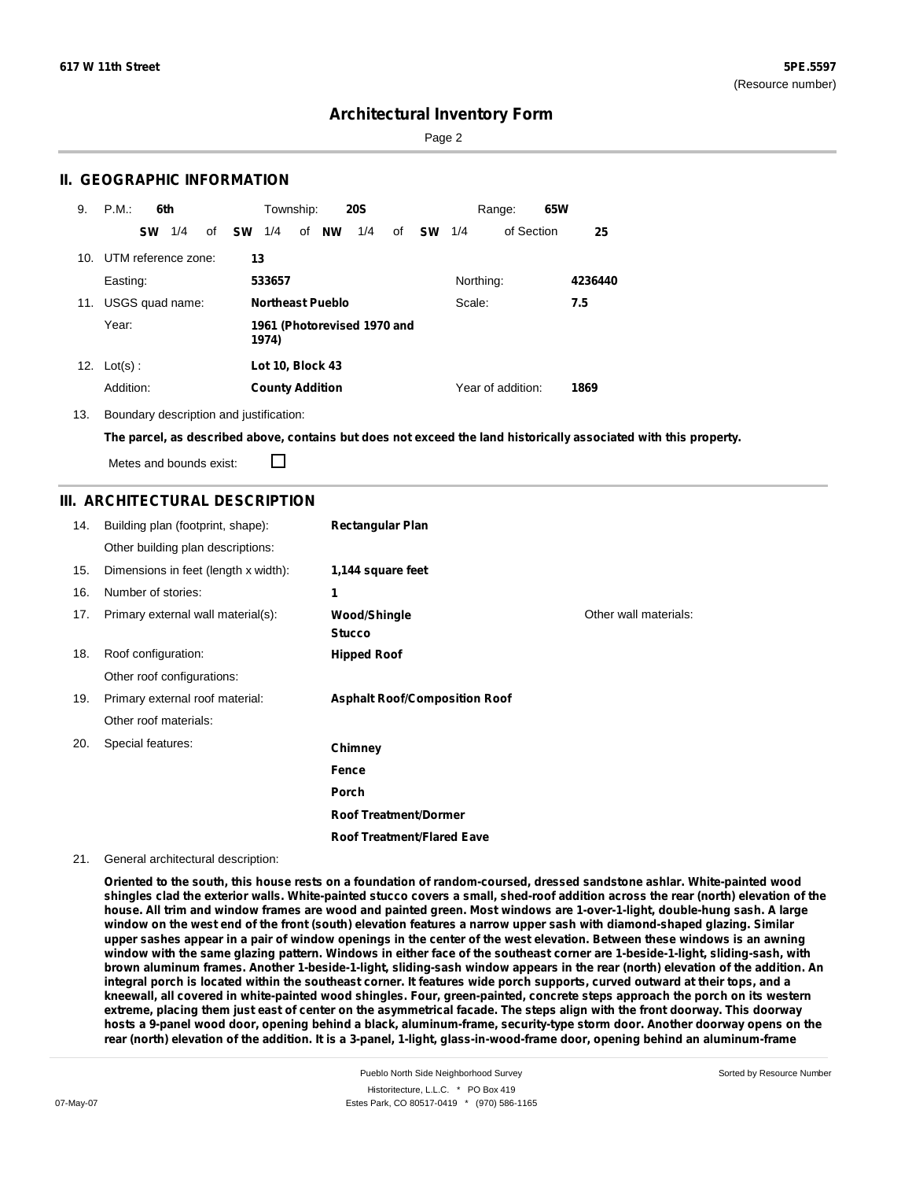Page 2

## **II. GEOGRAPHIC INFORMATION**

| 9.  | P.M.<br>6th         |     |    |           | Township:               |    |           | <b>20S</b>                  |    |           |           | Range:            | 65W |         |
|-----|---------------------|-----|----|-----------|-------------------------|----|-----------|-----------------------------|----|-----------|-----------|-------------------|-----|---------|
|     | <b>SW</b>           | 1/4 | of | <b>SW</b> | 1/4                     | of | <b>NW</b> | 1/4                         | of | <b>SW</b> | 1/4       | of Section        |     | 25      |
| 10. | UTM reference zone: |     |    | 13        |                         |    |           |                             |    |           |           |                   |     |         |
|     | Easting:            |     |    |           | 533657                  |    |           |                             |    |           | Northing: |                   |     | 4236440 |
| 11. | USGS quad name:     |     |    |           | <b>Northeast Pueblo</b> |    |           |                             |    |           | Scale:    |                   |     | 7.5     |
|     | Year:               |     |    |           | 1974)                   |    |           | 1961 (Photorevised 1970 and |    |           |           |                   |     |         |
| 12. | $Lot(s)$ :          |     |    |           | Lot 10, Block 43        |    |           |                             |    |           |           |                   |     |         |
|     | Addition:           |     |    |           | <b>County Addition</b>  |    |           |                             |    |           |           | Year of addition: |     | 1869    |

13. Boundary description and justification:

The parcel, as described above, contains but does not exceed the land historically associated with this property.

Metes and bounds exist:

П

## **III. ARCHITECTURAL DESCRIPTION**

| 14. | Building plan (footprint, shape):    | <b>Rectangular Plan</b>              |                       |
|-----|--------------------------------------|--------------------------------------|-----------------------|
|     | Other building plan descriptions:    |                                      |                       |
| 15. | Dimensions in feet (length x width): | 1,144 square feet                    |                       |
| 16. | Number of stories:                   | 1                                    |                       |
| 17. | Primary external wall material(s):   | Wood/Shingle<br><b>Stucco</b>        | Other wall materials: |
| 18. | Roof configuration:                  | <b>Hipped Roof</b>                   |                       |
|     | Other roof configurations:           |                                      |                       |
| 19. | Primary external roof material:      | <b>Asphalt Roof/Composition Roof</b> |                       |
|     | Other roof materials:                |                                      |                       |
| 20. | Special features:                    | Chimney                              |                       |
|     |                                      | Fence                                |                       |
|     |                                      | Porch                                |                       |
|     |                                      | <b>Roof Treatment/Dormer</b>         |                       |
|     |                                      | <b>Roof Treatment/Flared Eave</b>    |                       |

#### 21. General architectural description:

Oriented to the south, this house rests on a foundation of random-coursed, dressed sandstone ashlar. White-painted wood shingles clad the exterior walls. White-painted stucco covers a small, shed-roof addition across the rear (north) elevation of the house. All trim and window frames are wood and painted green. Most windows are 1-over-1-light, double-hung sash. A large window on the west end of the front (south) elevation features a narrow upper sash with diamond-shaped glazing. Similar upper sashes appear in a pair of window openings in the center of the west elevation. Between these windows is an awning window with the same glazing pattern. Windows in either face of the southeast corner are 1-beside-1-light, sliding-sash, with brown aluminum frames. Another 1-beside-1-light, sliding-sash window appears in the rear (north) elevation of the addition. An integral porch is located within the southeast corner. It features wide porch supports, curved outward at their tops, and a kneewall, all covered in white-painted wood shingles. Four, green-painted, concrete steps approach the porch on its western extreme, placing them just east of center on the asymmetrical facade. The steps align with the front doorway. This doorway hosts a 9-panel wood door, opening behind a black, aluminum-frame, security-type storm door. Another doorway opens on the rear (north) elevation of the addition. It is a 3-panel, 1-light, glass-in-wood-frame door, opening behind an aluminum-frame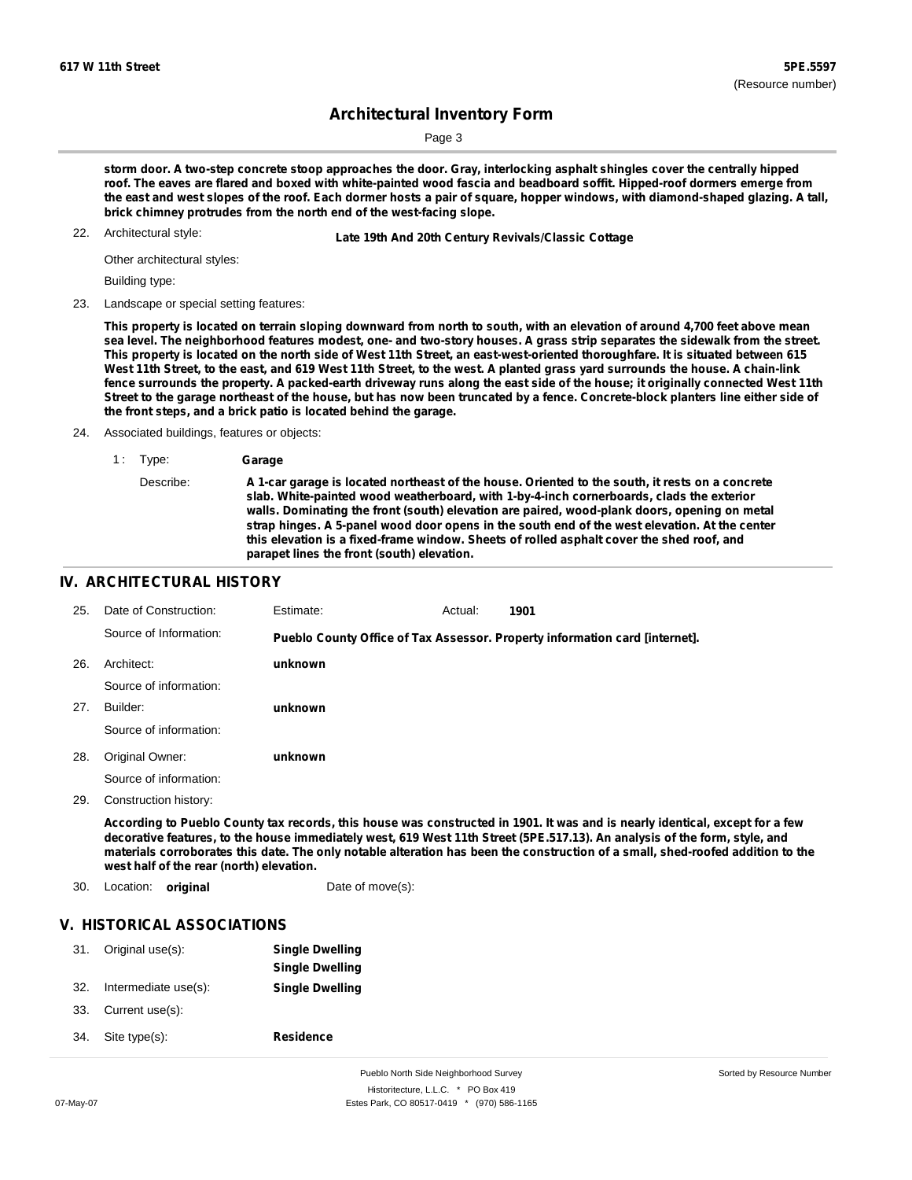Page 3

storm door. A two-step concrete stoop approaches the door. Gray, interlocking asphalt shingles cover the centrally hipped roof. The eaves are flared and boxed with white-painted wood fascia and beadboard soffit. Hipped-roof dormers emerge from the east and west slopes of the roof. Each dormer hosts a pair of square, hopper windows, with diamond-shaped glazing. A tall, **brick chimney protrudes from the north end of the west-facing slope.**

22. Architectural style:

22. **Late 19th And 20th Century Revivals/Classic Cottage**

Other architectural styles:

Building type:

23. Landscape or special setting features:

This property is located on terrain sloping downward from north to south, with an elevation of around 4,700 feet above mean sea level. The neighborhood features modest, one- and two-story houses. A grass strip separates the sidewalk from the street. This property is located on the north side of West 11th Street, an east-west-oriented thoroughfare. It is situated between 615 West 11th Street, to the east, and 619 West 11th Street, to the west. A planted grass yard surrounds the house. A chain-link fence surrounds the property. A packed-earth driveway runs along the east side of the house; it originally connected West 11th Street to the garage northeast of the house, but has now been truncated by a fence. Concrete-block planters line either side of **the front steps, and a brick patio is located behind the garage.**

24. Associated buildings, features or objects:

1 : Type: **Garage**

Describe: A 1-car garage is located northeast of the house. Oriented to the south, it rests on a concrete **slab. White-painted wood weatherboard, with 1-by-4-inch cornerboards, clads the exterior walls. Dominating the front (south) elevation are paired, wood-plank doors, opening on metal strap hinges. A 5-panel wood door opens in the south end of the west elevation. At the center this elevation is a fixed-frame window. Sheets of rolled asphalt cover the shed roof, and parapet lines the front (south) elevation.**

#### **IV. ARCHITECTURAL HISTORY**

| 25. | Date of Construction:  | Estimate: | Actual: | 1901                                                                        |
|-----|------------------------|-----------|---------|-----------------------------------------------------------------------------|
|     | Source of Information: |           |         | Pueblo County Office of Tax Assessor. Property information card [internet]. |
| 26. | Architect:             | unknown   |         |                                                                             |
|     | Source of information: |           |         |                                                                             |
| 27. | Builder:               | unknown   |         |                                                                             |
|     | Source of information: |           |         |                                                                             |
| 28. | Original Owner:        | unknown   |         |                                                                             |
|     | Source of information: |           |         |                                                                             |
|     |                        |           |         |                                                                             |

29. Construction history:

According to Pueblo County tax records, this house was constructed in 1901. It was and is nearly identical, except for a few decorative features, to the house immediately west, 619 West 11th Street (5PE.517.13). An analysis of the form, style, and materials corroborates this date. The only notable alteration has been the construction of a small, shed-roofed addition to the **west half of the rear (north) elevation.**

30. Location: **original** Date of move(s):

## **V. HISTORICAL ASSOCIATIONS**

| 31. | Original use(s):     | <b>Single Dwelling</b><br><b>Single Dwelling</b> |
|-----|----------------------|--------------------------------------------------|
| 32. | Intermediate use(s): | <b>Single Dwelling</b>                           |
| 33. | Current use(s):      |                                                  |
| 34. | Site type(s):        | <b>Residence</b>                                 |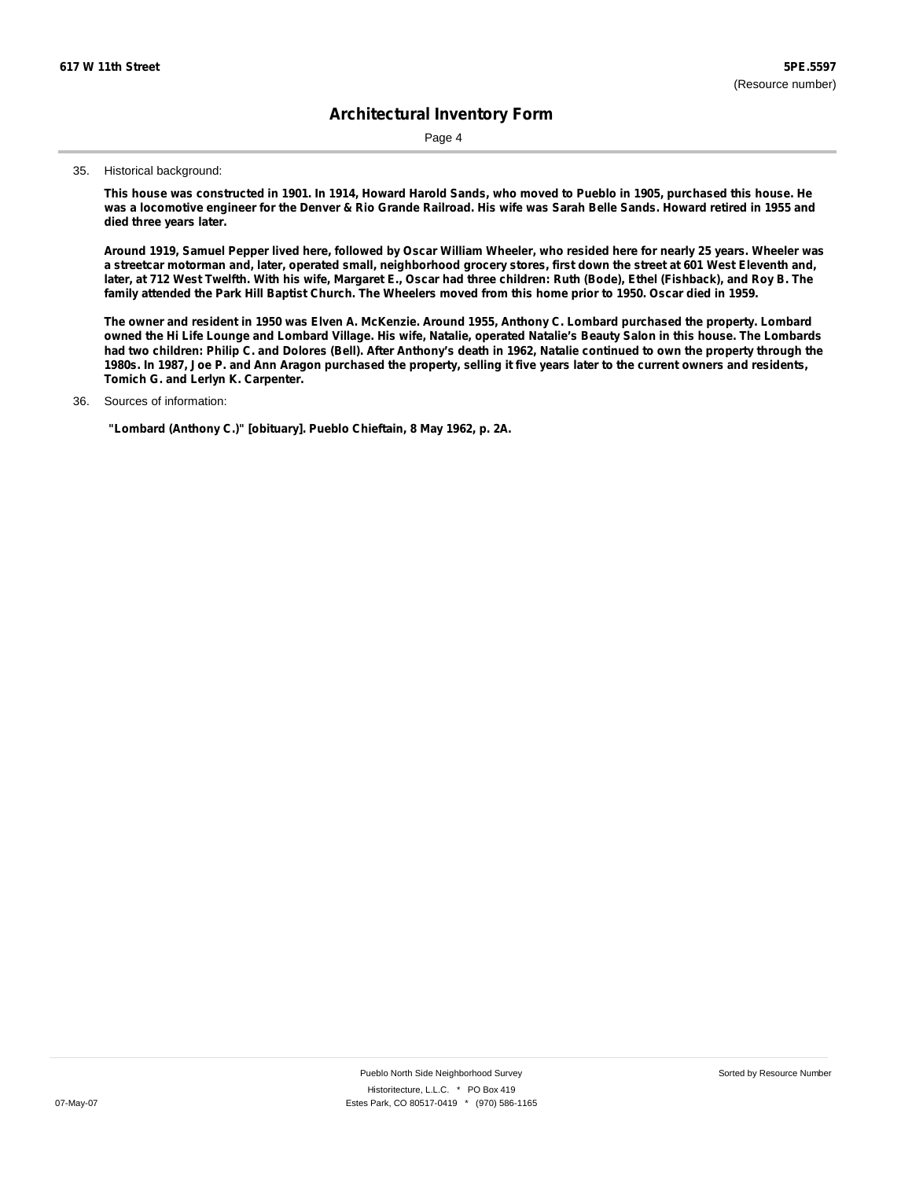Page 4

#### 35. Historical background:

This house was constructed in 1901. In 1914, Howard Harold Sands, who moved to Pueblo in 1905, purchased this house. He was a locomotive engineer for the Denver & Rio Grande Railroad. His wife was Sarah Belle Sands. Howard retired in 1955 and **died three years later.**

Around 1919, Samuel Pepper lived here, followed by Oscar William Wheeler, who resided here for nearly 25 years. Wheeler was a streetcar motorman and, later, operated small, neighborhood grocery stores, first down the street at 601 West Eleventh and, later, at 712 West Twelfth. With his wife, Margaret E., Oscar had three children: Ruth (Bode), Ethel (Fishback), and Roy B. The family attended the Park Hill Baptist Church. The Wheelers moved from this home prior to 1950. Oscar died in 1959.

The owner and resident in 1950 was Elven A. McKenzie. Around 1955, Anthony C. Lombard purchased the property. Lombard owned the Hi Life Lounge and Lombard Village. His wife, Natalie, operated Natalie's Beauty Salon in this house. The Lombards had two children: Philip C. and Dolores (Bell). After Anthony's death in 1962, Natalie continued to own the property through the 1980s. In 1987, Joe P. and Ann Aragon purchased the property, selling it five years later to the current owners and residents, **Tomich G. and Lerlyn K. Carpenter.**

#### Sources of information: 36.

**"Lombard (Anthony C.)" [obituary]. Pueblo Chieftain, 8 May 1962, p. 2A.**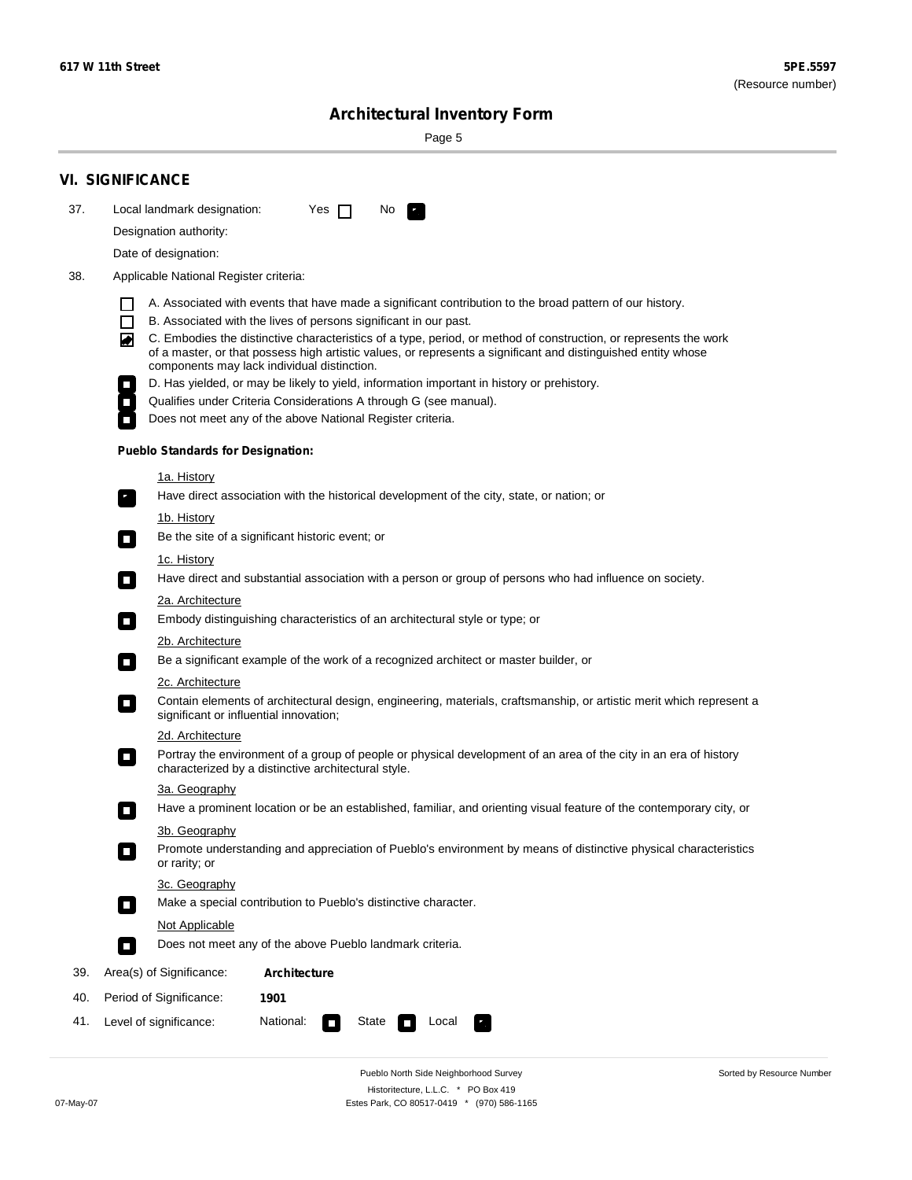۰

Sorted by Resource Number

# **Architectural Inventory Form**

Page 5

|     | <b>VI. SIGNIFICANCE</b>                                                                                                                                                                                                                                                               |
|-----|---------------------------------------------------------------------------------------------------------------------------------------------------------------------------------------------------------------------------------------------------------------------------------------|
| 37. | Local landmark designation:<br>Yes $\Box$<br>No.<br>$\mathbf{F}$                                                                                                                                                                                                                      |
|     | Designation authority:                                                                                                                                                                                                                                                                |
|     | Date of designation:                                                                                                                                                                                                                                                                  |
| 38. | Applicable National Register criteria:                                                                                                                                                                                                                                                |
|     | A. Associated with events that have made a significant contribution to the broad pattern of our history.                                                                                                                                                                              |
|     | $\Box$<br>B. Associated with the lives of persons significant in our past.                                                                                                                                                                                                            |
|     | C. Embodies the distinctive characteristics of a type, period, or method of construction, or represents the work<br>丙<br>of a master, or that possess high artistic values, or represents a significant and distinguished entity whose<br>components may lack individual distinction. |
|     | D. Has yielded, or may be likely to yield, information important in history or prehistory.                                                                                                                                                                                            |
|     | Qualifies under Criteria Considerations A through G (see manual).                                                                                                                                                                                                                     |
|     | Does not meet any of the above National Register criteria.                                                                                                                                                                                                                            |
|     | <b>Pueblo Standards for Designation:</b>                                                                                                                                                                                                                                              |
|     | <u>1a. History</u>                                                                                                                                                                                                                                                                    |
|     | Have direct association with the historical development of the city, state, or nation; or<br>$\mathbf{r}_\perp$                                                                                                                                                                       |
|     | <u>1b. History</u>                                                                                                                                                                                                                                                                    |
|     | Be the site of a significant historic event; or<br>$\blacksquare$                                                                                                                                                                                                                     |
|     | 1c. History                                                                                                                                                                                                                                                                           |
|     | Have direct and substantial association with a person or group of persons who had influence on society.<br>$\overline{\phantom{a}}$                                                                                                                                                   |
|     | 2a. Architecture                                                                                                                                                                                                                                                                      |
|     | Embody distinguishing characteristics of an architectural style or type; or<br>$\Box$                                                                                                                                                                                                 |
|     | <u>2b. Architecture</u><br>Be a significant example of the work of a recognized architect or master builder, or<br>$\sim$                                                                                                                                                             |
|     | <b>2c. Architecture</b>                                                                                                                                                                                                                                                               |
|     | Contain elements of architectural design, engineering, materials, craftsmanship, or artistic merit which represent a<br>О<br>significant or influential innovation;                                                                                                                   |
|     | 2d. Architecture                                                                                                                                                                                                                                                                      |
|     | Portray the environment of a group of people or physical development of an area of the city in an era of history<br>О<br>characterized by a distinctive architectural style.                                                                                                          |
|     | 3a. Geography                                                                                                                                                                                                                                                                         |
|     | Have a prominent location or be an established, familiar, and orienting visual feature of the contemporary city, or                                                                                                                                                                   |
|     | 3b. Geography                                                                                                                                                                                                                                                                         |
|     | Promote understanding and appreciation of Pueblo's environment by means of distinctive physical characteristics<br>or rarity; or                                                                                                                                                      |
|     | 3c. Geography<br>Make a special contribution to Pueblo's distinctive character.<br>$\Box$                                                                                                                                                                                             |
|     | Not Applicable                                                                                                                                                                                                                                                                        |
|     | Does not meet any of the above Pueblo landmark criteria.<br>П                                                                                                                                                                                                                         |
| 39. | Area(s) of Significance:<br><b>Architecture</b>                                                                                                                                                                                                                                       |
| 40. | Period of Significance:<br>1901                                                                                                                                                                                                                                                       |
| 41. | National:<br>Level of significance:<br>State<br>Local<br>$\Box$                                                                                                                                                                                                                       |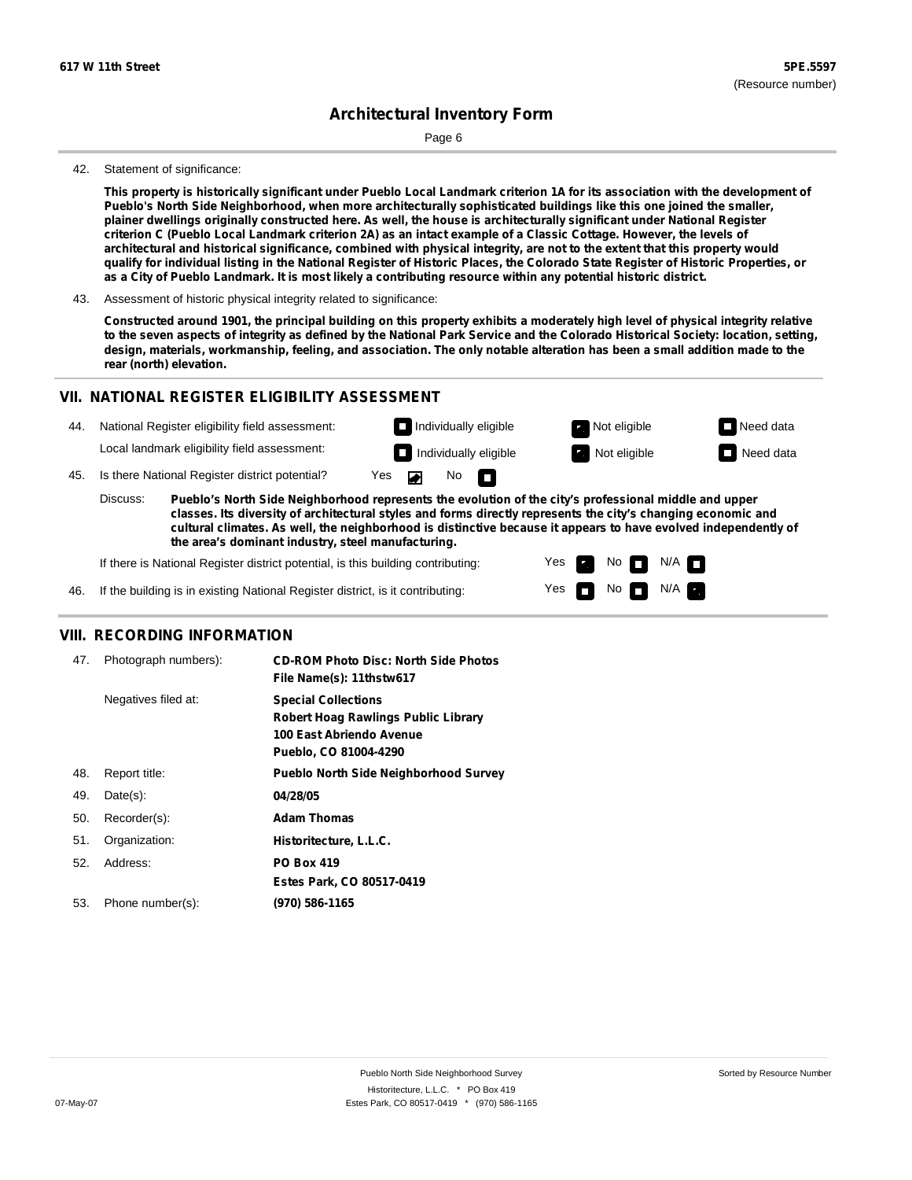Page 6

#### 42. Statement of significance:

This property is historically significant under Pueblo Local Landmark criterion 1A for its association with the development of **Pueblo's North Side Neighborhood, when more architecturally sophisticated buildings like this one joined the smaller,** plainer dwellings originally constructed here. As well, the house is architecturally significant under National Register criterion C (Pueblo Local Landmark criterion 2A) as an intact example of a Classic Cottage. However, the levels of architectural and historical significance, combined with physical integrity, are not to the extent that this property would qualify for individual listing in the National Register of Historic Places, the Colorado State Register of Historic Properties, or as a City of Pueblo Landmark. It is most likely a contributing resource within any potential historic district.

43. Assessment of historic physical integrity related to significance:

Constructed around 1901, the principal building on this property exhibits a moderately high level of physical integrity relative to the seven aspects of integrity as defined by the National Park Service and the Colorado Historical Society: location, setting, design, materials, workmanship, feeling, and association. The only notable alteration has been a small addition made to the **rear (north) elevation.**

## **VII. NATIONAL REGISTER ELIGIBILITY ASSESSMENT**

| National Register eligibility field assessment: |  |
|-------------------------------------------------|--|
|                                                 |  |

Local landmark eligibility field assessment:

45. Is there National Register district potential? Yes

**Pueblo's North Side Neighborhood represents the evolution of the city's professional middle and upper classes. Its diversity of architectural styles and forms directly represents the city's changing economic and cultural climates. As well, the neighborhood is distinctive because it appears to have evolved independently of the area's dominant industry, steel manufacturing.** Discuss:

No

П

 $\blacksquare$ 

Yes Yes

m

**Individually eligible Not eligible Not eligible Need data Individually eligible Not eligible Not eligible Need data** 

> Non<sub>d</sub> N/A No  $\blacksquare$  N/A  $\blacksquare$

If there is National Register district potential, is this building contributing:

If the building is in existing National Register district, is it contributing: 46.

#### **VIII. RECORDING INFORMATION**

| 47. | Photograph numbers): | <b>CD-ROM Photo Disc: North Side Photos</b><br>File Name(s): 11thstw617                                                       |
|-----|----------------------|-------------------------------------------------------------------------------------------------------------------------------|
|     | Negatives filed at:  | <b>Special Collections</b><br><b>Robert Hoag Rawlings Public Library</b><br>100 East Abriendo Avenue<br>Pueblo, CO 81004-4290 |
| 48. | Report title:        | <b>Pueblo North Side Neighborhood Survey</b>                                                                                  |
| 49. | $Date(s)$ :          | 04/28/05                                                                                                                      |
| 50. | Recorder(s):         | <b>Adam Thomas</b>                                                                                                            |
| 51. | Organization:        | Historitecture, L.L.C.                                                                                                        |
| 52. | Address:             | <b>PO Box 419</b>                                                                                                             |
|     |                      | Estes Park, CO 80517-0419                                                                                                     |
| 53. | Phone number(s):     | (970) 586-1165                                                                                                                |
|     |                      |                                                                                                                               |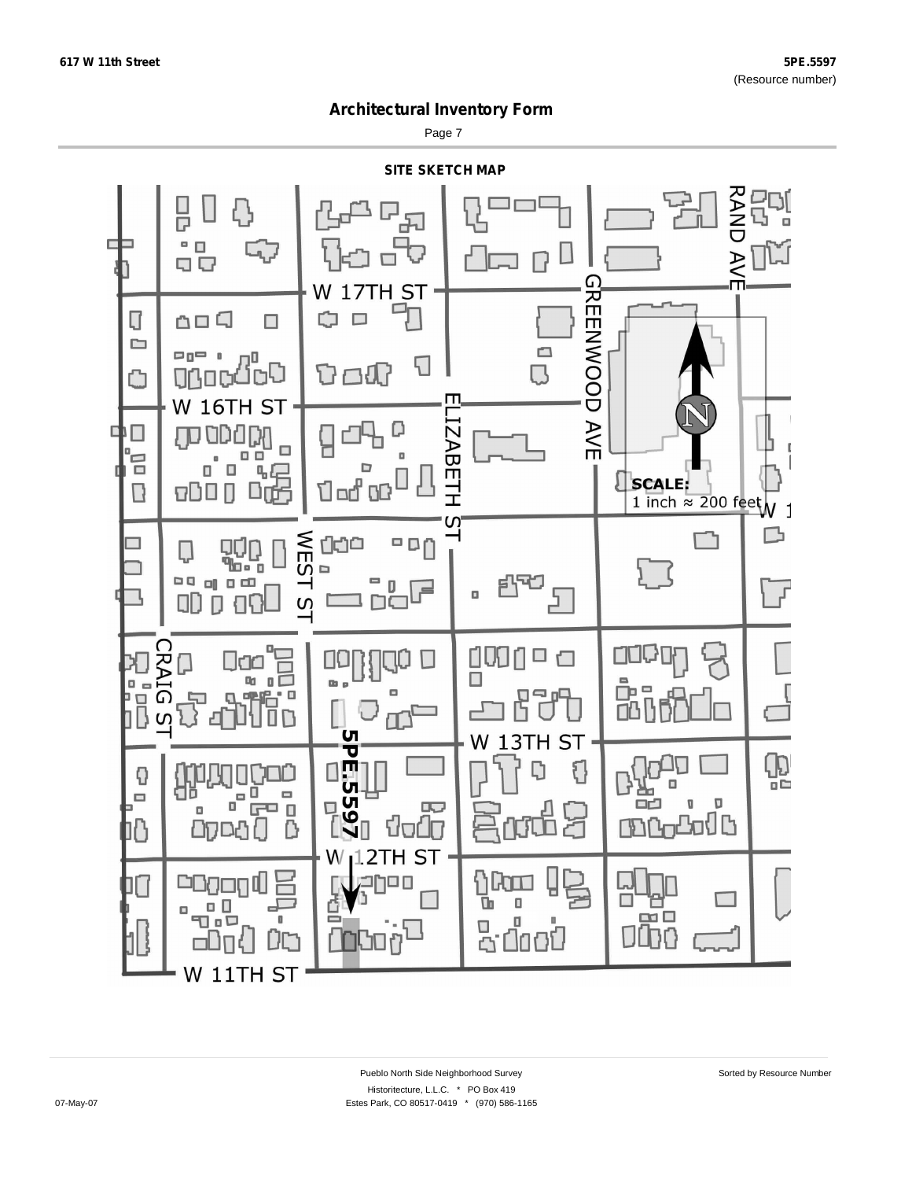Page 7